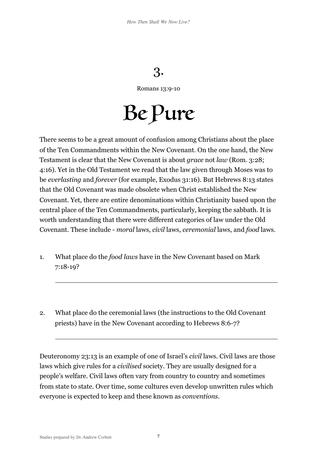## 3.

Romans 13:9-10

Be Pure

There seems to be a great amount of confusion among Christians about the place of the Ten Commandments within the New Covenant. On the one hand, the New Testament is clear that the New Covenant is about *grace* not *law* (Rom. 3:28; 4:16). Yet in the Old Testament we read that the law given through Moses was to be *everlasting* and *forever* (for example, Exodus 31:16). But Hebrews 8:13 states that the Old Covenant was made obsolete when Christ established the New Covenant. Yet, there are entire denominations within Christianity based upon the central place of the Ten Commandments, particularly, keeping the sabbath. It is worth understanding that there were different categories of law under the Old Covenant. These include - *moral* laws, *civil* laws, *ceremonial* laws, and *food* laws.

- 1. What place do the *food laws* have in the New Covenant based on Mark 7:18-19?
- 2. What place do the ceremonial laws (the instructions to the Old Covenant priests) have in the New Covenant according to Hebrews 8:6-7?

Deuteronomy 23:13 is an example of one of Israel's *civil* laws. Civil laws are those laws which give rules for a *civilised* society. They are usually designed for a people's welfare. Civil laws often vary from country to country and sometimes from state to state. Over time, some cultures even develop unwritten rules which everyone is expected to keep and these known as *conventions*.

 $\overline{a}$